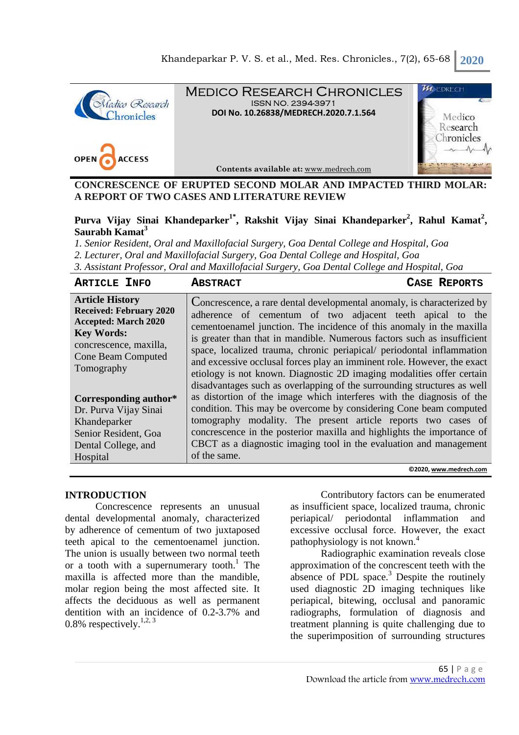

**CONCRESCENCE OF ERUPTED SECOND MOLAR AND IMPACTED THIRD MOLAR: A REPORT OF TWO CASES AND LITERATURE REVIEW** 

# **Purva Vijay Sinai Khandeparker1\*, Rakshit Vijay Sinai Khandeparker<sup>2</sup> , Rahul Kamat<sup>2</sup> , Saurabh Kamat<sup>3</sup>**

*1. Senior Resident, Oral and Maxillofacial Surgery, Goa Dental College and Hospital, Goa 2. Lecturer, Oral and Maxillofacial Surgery, Goa Dental College and Hospital, Goa 3. Assistant Professor, Oral and Maxillofacial Surgery, Goa Dental College and Hospital, Goa*

#### **ARTICLE INFO ABSTRACT CASE REPORTS**

| <b>Article History</b><br><b>Received: February 2020</b><br><b>Accepted: March 2020</b><br><b>Key Words:</b><br>concrescence, maxilla,<br><b>Cone Beam Computed</b><br>Tomography | Concrescence, a rare dental developmental anomaly, is characterized by<br>adherence of cementum of two adjacent teeth apical to the<br>cementoenamel junction. The incidence of this anomaly in the maxilla<br>is greater than that in mandible. Numerous factors such as insufficient<br>space, localized trauma, chronic periapical/ periodontal inflammation<br>and excessive occlusal forces play an imminent role. However, the exact<br>etiology is not known. Diagnostic 2D imaging modalities offer certain<br>disadvantages such as overlapping of the surrounding structures as well |
|-----------------------------------------------------------------------------------------------------------------------------------------------------------------------------------|------------------------------------------------------------------------------------------------------------------------------------------------------------------------------------------------------------------------------------------------------------------------------------------------------------------------------------------------------------------------------------------------------------------------------------------------------------------------------------------------------------------------------------------------------------------------------------------------|
| Corresponding author*<br>Dr. Purva Vijay Sinai                                                                                                                                    | as distortion of the image which interferes with the diagnosis of the<br>condition. This may be overcome by considering Cone beam computed                                                                                                                                                                                                                                                                                                                                                                                                                                                     |
| Khandeparker                                                                                                                                                                      | tomography modality. The present article reports two cases of                                                                                                                                                                                                                                                                                                                                                                                                                                                                                                                                  |
| Senior Resident, Goa                                                                                                                                                              | concrescence in the posterior maxilla and highlights the importance of                                                                                                                                                                                                                                                                                                                                                                                                                                                                                                                         |
| Dental College, and                                                                                                                                                               | CBCT as a diagnostic imaging tool in the evaluation and management                                                                                                                                                                                                                                                                                                                                                                                                                                                                                                                             |
| Hospital                                                                                                                                                                          | of the same.                                                                                                                                                                                                                                                                                                                                                                                                                                                                                                                                                                                   |

**©2020, www.medrech.com**

### **INTRODUCTION**

Concrescence represents an unusual dental developmental anomaly, characterized by adherence of cementum of two juxtaposed teeth apical to the cementoenamel junction. The union is usually between two normal teeth or a tooth with a supernumerary tooth.<sup>1</sup> The maxilla is affected more than the mandible, molar region being the most affected site. It affects the deciduous as well as permanent dentition with an incidence of 0.2-3.7% and  $0.8\%$  respectively.<sup>1,2, 3</sup>

Contributory factors can be enumerated as insufficient space, localized trauma, chronic periapical/ periodontal inflammation and excessive occlusal force. However, the exact pathophysiology is not known.<sup>4</sup>

Radiographic examination reveals close approximation of the concrescent teeth with the absence of PDL space. $3$  Despite the routinely used diagnostic 2D imaging techniques like periapical, bitewing, occlusal and panoramic radiographs, formulation of diagnosis and treatment planning is quite challenging due to the superimposition of surrounding structures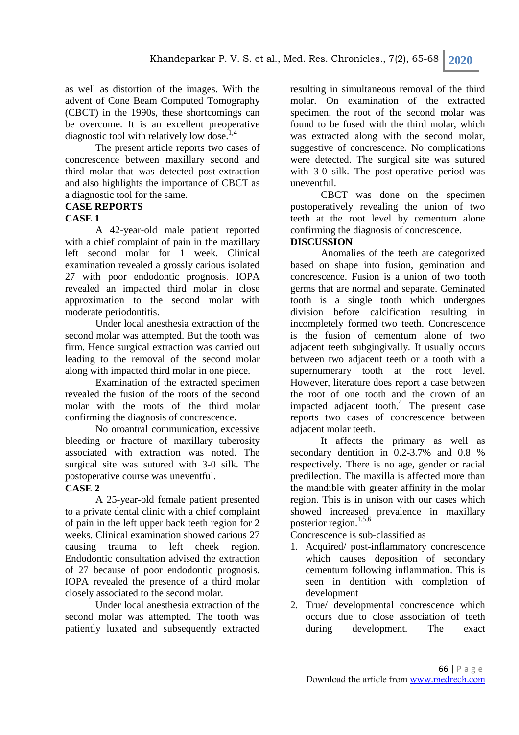as well as distortion of the images. With the advent of Cone Beam Computed Tomography (CBCT) in the 1990s, these shortcomings can be overcome. It is an excellent preoperative diagnostic tool with relatively low dose.<sup>1,4</sup>

The present article reports two cases of concrescence between maxillary second and third molar that was detected post-extraction and also highlights the importance of CBCT as a diagnostic tool for the same.

# **CASE REPORTS**

### **CASE 1**

A 42-year-old male patient reported with a chief complaint of pain in the maxillary left second molar for 1 week. Clinical examination revealed a grossly carious isolated 27 with poor endodontic prognosis. IOPA revealed an impacted third molar in close approximation to the second molar with moderate periodontitis.

Under local anesthesia extraction of the second molar was attempted. But the tooth was firm. Hence surgical extraction was carried out leading to the removal of the second molar along with impacted third molar in one piece.

Examination of the extracted specimen revealed the fusion of the roots of the second molar with the roots of the third molar confirming the diagnosis of concrescence.

No oroantral communication, excessive bleeding or fracture of maxillary tuberosity associated with extraction was noted. The surgical site was sutured with 3-0 silk. The postoperative course was uneventful.

### **CASE 2**

A 25-year-old female patient presented to a private dental clinic with a chief complaint of pain in the left upper back teeth region for 2 weeks. Clinical examination showed carious 27 causing trauma to left cheek region. Endodontic consultation advised the extraction of 27 because of poor endodontic prognosis. IOPA revealed the presence of a third molar closely associated to the second molar.

Under local anesthesia extraction of the second molar was attempted. The tooth was patiently luxated and subsequently extracted resulting in simultaneous removal of the third molar. On examination of the extracted specimen, the root of the second molar was found to be fused with the third molar, which was extracted along with the second molar, suggestive of concrescence. No complications were detected. The surgical site was sutured with 3-0 silk. The post-operative period was uneventful.

CBCT was done on the specimen postoperatively revealing the union of two teeth at the root level by cementum alone confirming the diagnosis of concrescence.

# **DISCUSSION**

Anomalies of the teeth are categorized based on shape into fusion, gemination and concrescence. Fusion is a union of two tooth germs that are normal and separate. Geminated tooth is a single tooth which undergoes division before calcification resulting in incompletely formed two teeth. Concrescence is the fusion of cementum alone of two adjacent teeth subgingivally. It usually occurs between two adjacent teeth or a tooth with a supernumerary tooth at the root level. However, literature does report a case between the root of one tooth and the crown of an impacted adjacent tooth. $4$  The present case reports two cases of concrescence between adjacent molar teeth.

It affects the primary as well as secondary dentition in 0.2-3.7% and 0.8 % respectively. There is no age, gender or racial predilection. The maxilla is affected more than the mandible with greater affinity in the molar region. This is in unison with our cases which showed increased prevalence in maxillary posterior region. $1,5,6$ 

Concrescence is sub-classified as

- 1. Acquired/ post-inflammatory concrescence which causes deposition of secondary cementum following inflammation. This is seen in dentition with completion of development
- 2. True/ developmental concrescence which occurs due to close association of teeth during development. The exact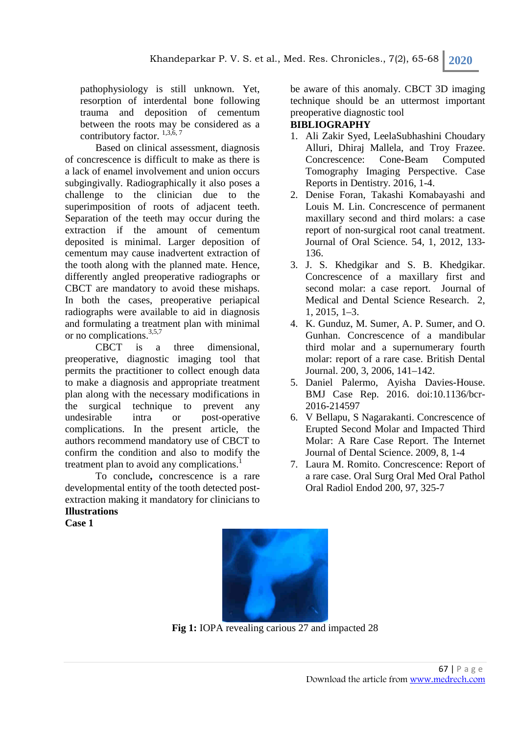pathophysiology is still unknown. Yet, resorption of interdental bone following trauma and deposition of cementum between the roots may be considered as a contributory factor.  $^{1,3,6,7}$ 

Based on clinical assessment, diagnosis of concrescence is difficult to make as there is a lack of enamel involvement and union occurs subgingivally. Radiographically it also poses a challenge to the clinician due to the superimposition of roots of adjacent teeth. Separation of the teeth may occur during the extraction if the amount of cementum deposited is minimal. Larger deposition of cementum may cause inadvertent extraction of the tooth along with the planned mate. Hence, differently angled preoperative radiographs or CBCT are mandatory to avoid these mishaps. In both the cases, preoperative periapical radiographs were available to aid in diagnosis and formulating a treatment plan with minimal or no complications.<sup>3,5,7</sup>

CBCT is a three dimensional, preoperative, diagnostic imaging tool that permits the practitioner to collect enough data to make a diagnosis and appropriate treatment plan along with the necessary modifications in the surgical technique to prevent any undesirable intra or post-operative complications. In the present article, the authors recommend mandatory use of CBCT to confirm the condition and also to modify the treatment plan to avoid any complications.<sup>1</sup>

To conclude**,** concrescence is a rare developmental entity of the tooth detected postextraction making it mandatory for clinicians to **Illustrations** 

**Case 1** 

be aware of this anomaly. CBCT 3D imaging technique should be an uttermost important preoperative diagnostic tool

# **BIBLIOGRAPHY**

- 1. Ali Zakir Syed, LeelaSubhashini Choudary Alluri, Dhiraj Mallela, and Troy Frazee. Concrescence: Cone-Beam Computed Tomography Imaging Perspective. Case Reports in Dentistry. 2016, 1-4.
- 2. Denise Foran, Takashi Komabayashi and Louis M. Lin. Concrescence of permanent maxillary second and third molars: a case report of non-surgical root canal treatment. Journal of Oral Science. 54, 1, 2012, 133- 136.
- 3. J. S. Khedgikar and S. B. Khedgikar. Concrescence of a maxillary first and second molar: a case report. Journal of Medical and Dental Science Research. 2, 1, 2015, 1–3.
- 4. K. Gunduz, M. Sumer, A. P. Sumer, and O. Gunhan. Concrescence of a mandibular third molar and a supernumerary fourth molar: report of a rare case. British Dental Journal. 200, 3, 2006, 141–142.
- 5. Daniel Palermo, Ayisha Davies-House. BMJ Case Rep. 2016. doi:10.1136/bcr-2016-214597
- 6. V Bellapu, S Nagarakanti. Concrescence of Erupted Second Molar and Impacted Third Molar: A Rare Case Report. The Internet Journal of Dental Science. 2009, 8, 1-4
- 7. Laura M. Romito. Concrescence: Report of a rare case. Oral Surg Oral Med Oral Pathol Oral Radiol Endod 200, 97, 325-7



Fig 1: IOPA revealing carious 27 and impacted 28